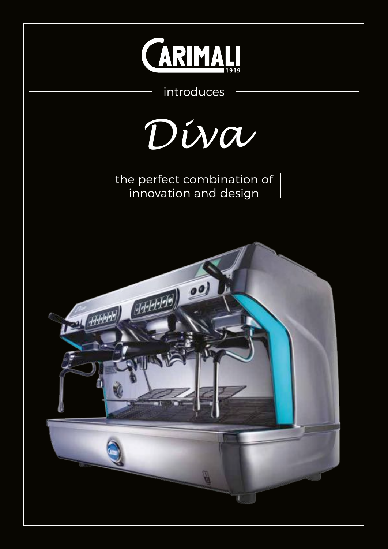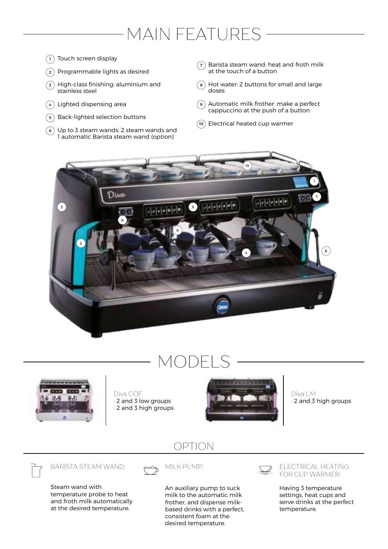### MAIN FEATURES

- $_1$   $\,$  Touch screen display
- Programmable lights as desired  $\binom{2}{}$
- $\mathsf s$   $\,$  High-class finishing: aluminium and stainless steel
- 4 ) Lighted dispensing area
- Back-lighted selection buttons  $\binom{5}{ }$
- Up to 3 steam wands: 2 steam wands and 6 1 automatic Barista steam wand (option)
- $\sigma$ ) Barista steam wand: heat and froth milk at the touch of a button
- Hot water: 2 buttons for small and large 8 doses
- Automatic milk frother: make a perfect 9 cappuccino at the push of a button
- 10) Electrical heated cup warmer



### MODELS



Diva COF · 2 and 3 low groups

· 2 and 3 high groups



Diva LM · 2 and 3 high groups

#### OPTION

BARISTA STEAM WAND:

Steam wand with temperature probe to heat and froth milk automatically at the desired temperature.



An auxiliary pump to suck milk to the automatic milk frother, and dispense milkbased drinks with a perfect, consistent foam at the desired temperature.



ELECTRICAL HEATING FOR CUP WARMER:

Having 3 temperature settings, heat cups and serve drinks at the perfect temperature.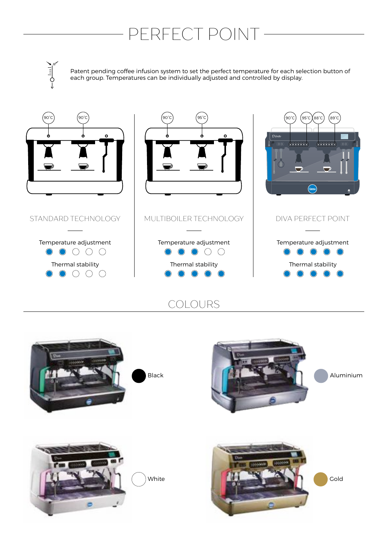## - PERFECT POINT -

 $\frac{1}{2}$ 

Patent pending coffee infusion system to set the perfect temperature for each selection button of each group. Temperatures can be individually adjusted and controlled by display.